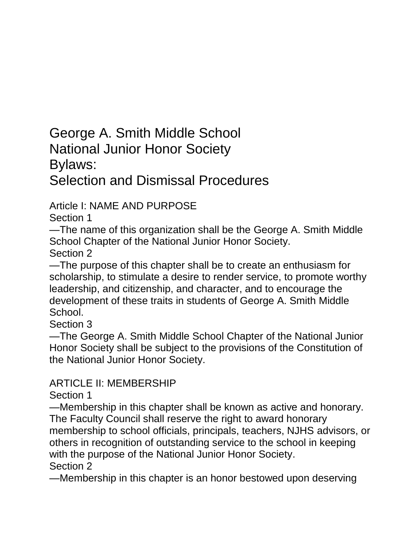George A. Smith Middle School National Junior Honor Society Bylaws: Selection and Dismissal Procedures

Article I: NAME AND PURPOSE

Section 1

—The name of this organization shall be the George A. Smith Middle School Chapter of the National Junior Honor Society. Section 2

—The purpose of this chapter shall be to create an enthusiasm for

scholarship, to stimulate a desire to render service, to promote worthy leadership, and citizenship, and character, and to encourage the development of these traits in students of George A. Smith Middle School.

Section 3

—The George A. Smith Middle School Chapter of the National Junior Honor Society shall be subject to the provisions of the Constitution of the National Junior Honor Society.

## ARTICLE II: MEMBERSHIP

Section 1

—Membership in this chapter shall be known as active and honorary. The Faculty Council shall reserve the right to award honorary membership to school officials, principals, teachers, NJHS advisors, or others in recognition of outstanding service to the school in keeping with the purpose of the National Junior Honor Society. Section 2

—Membership in this chapter is an honor bestowed upon deserving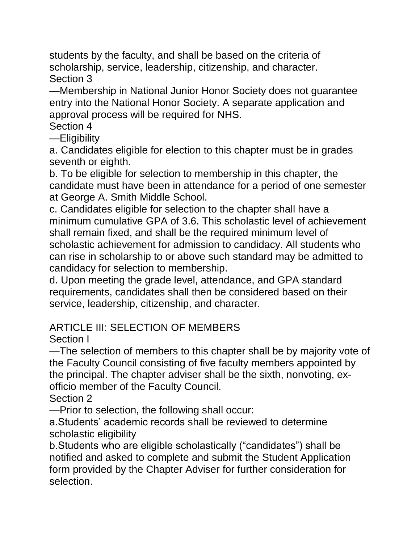students by the faculty, and shall be based on the criteria of scholarship, service, leadership, citizenship, and character. Section 3

—Membership in National Junior Honor Society does not guarantee entry into the National Honor Society. A separate application and approval process will be required for NHS.

Section 4

—Eligibility

a. Candidates eligible for election to this chapter must be in grades seventh or eighth.

b. To be eligible for selection to membership in this chapter, the candidate must have been in attendance for a period of one semester at George A. Smith Middle School.

c. Candidates eligible for selection to the chapter shall have a minimum cumulative GPA of 3.6. This scholastic level of achievement shall remain fixed, and shall be the required minimum level of scholastic achievement for admission to candidacy. All students who can rise in scholarship to or above such standard may be admitted to candidacy for selection to membership.

d. Upon meeting the grade level, attendance, and GPA standard requirements, candidates shall then be considered based on their service, leadership, citizenship, and character.

# ARTICLE III: SELECTION OF MEMBERS

Section I

—The selection of members to this chapter shall be by majority vote of the Faculty Council consisting of five faculty members appointed by the principal. The chapter adviser shall be the sixth, nonvoting, exofficio member of the Faculty Council.

Section 2

—Prior to selection, the following shall occur:

a.Students' academic records shall be reviewed to determine scholastic eligibility

b.Students who are eligible scholastically ("candidates") shall be notified and asked to complete and submit the Student Application form provided by the Chapter Adviser for further consideration for selection.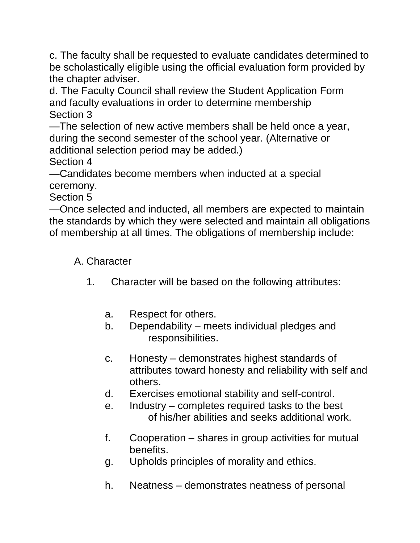c. The faculty shall be requested to evaluate candidates determined to be scholastically eligible using the official evaluation form provided by the chapter adviser.

d. The Faculty Council shall review the Student Application Form and faculty evaluations in order to determine membership Section 3

—The selection of new active members shall be held once a year, during the second semester of the school year. (Alternative or additional selection period may be added.)

Section 4

—Candidates become members when inducted at a special ceremony.

Section 5

—Once selected and inducted, all members are expected to maintain the standards by which they were selected and maintain all obligations of membership at all times. The obligations of membership include:

#### A. Character

- 1. Character will be based on the following attributes:
	- a. Respect for others.
	- b. Dependability meets individual pledges and responsibilities.
	- c. Honesty demonstrates highest standards of attributes toward honesty and reliability with self and others.
	- d. Exercises emotional stability and self-control.
	- e. Industry completes required tasks to the best of his/her abilities and seeks additional work.
	- f. Cooperation shares in group activities for mutual benefits.
	- g. Upholds principles of morality and ethics.
	- h. Neatness demonstrates neatness of personal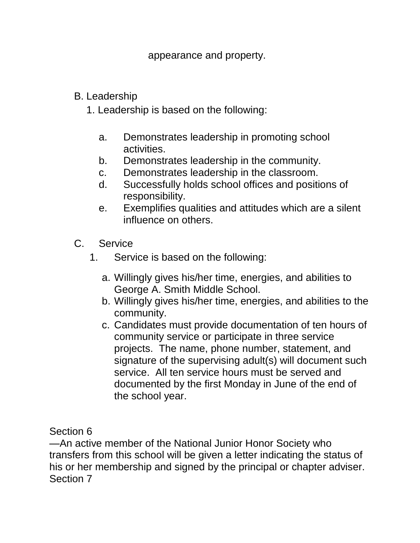appearance and property.

#### B. Leadership

- 1. Leadership is based on the following:
	- a. Demonstrates leadership in promoting school activities.
	- b. Demonstrates leadership in the community.
	- c. Demonstrates leadership in the classroom.
	- d. Successfully holds school offices and positions of responsibility.
	- e. Exemplifies qualities and attitudes which are a silent influence on others.
- C. Service
	- 1. Service is based on the following:
		- a. Willingly gives his/her time, energies, and abilities to George A. Smith Middle School.
		- b. Willingly gives his/her time, energies, and abilities to the community.
		- c. Candidates must provide documentation of ten hours of community service or participate in three service projects. The name, phone number, statement, and signature of the supervising adult(s) will document such service. All ten service hours must be served and documented by the first Monday in June of the end of the school year.

Section 6

—An active member of the National Junior Honor Society who transfers from this school will be given a letter indicating the status of his or her membership and signed by the principal or chapter adviser. Section 7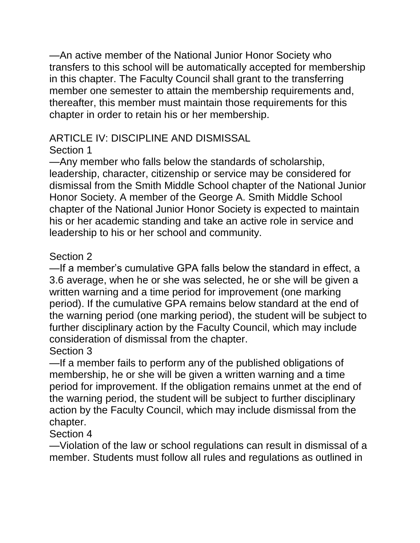—An active member of the National Junior Honor Society who transfers to this school will be automatically accepted for membership in this chapter. The Faculty Council shall grant to the transferring member one semester to attain the membership requirements and, thereafter, this member must maintain those requirements for this chapter in order to retain his or her membership.

## ARTICLE IV: DISCIPLINE AND DISMISSAL

### Section 1

—Any member who falls below the standards of scholarship, leadership, character, citizenship or service may be considered for dismissal from the Smith Middle School chapter of the National Junior Honor Society. A member of the George A. Smith Middle School chapter of the National Junior Honor Society is expected to maintain his or her academic standing and take an active role in service and leadership to his or her school and community.

## Section 2

—If a member's cumulative GPA falls below the standard in effect, a 3.6 average, when he or she was selected, he or she will be given a written warning and a time period for improvement (one marking period). If the cumulative GPA remains below standard at the end of the warning period (one marking period), the student will be subject to further disciplinary action by the Faculty Council, which may include consideration of dismissal from the chapter.

#### Section 3

—If a member fails to perform any of the published obligations of membership, he or she will be given a written warning and a time period for improvement. If the obligation remains unmet at the end of the warning period, the student will be subject to further disciplinary action by the Faculty Council, which may include dismissal from the chapter.

## Section 4

—Violation of the law or school regulations can result in dismissal of a member. Students must follow all rules and regulations as outlined in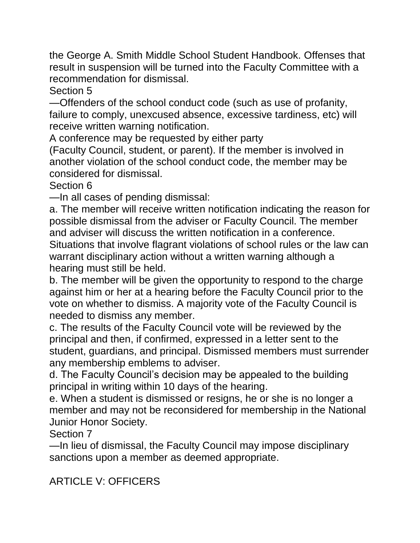the George A. Smith Middle School Student Handbook. Offenses that result in suspension will be turned into the Faculty Committee with a recommendation for dismissal.

Section 5

—Offenders of the school conduct code (such as use of profanity, failure to comply, unexcused absence, excessive tardiness, etc) will receive written warning notification.

A conference may be requested by either party

(Faculty Council, student, or parent). If the member is involved in another violation of the school conduct code, the member may be considered for dismissal.

Section 6

—In all cases of pending dismissal:

a. The member will receive written notification indicating the reason for possible dismissal from the adviser or Faculty Council. The member and adviser will discuss the written notification in a conference. Situations that involve flagrant violations of school rules or the law can warrant disciplinary action without a written warning although a hearing must still be held.

b. The member will be given the opportunity to respond to the charge against him or her at a hearing before the Faculty Council prior to the vote on whether to dismiss. A majority vote of the Faculty Council is needed to dismiss any member.

c. The results of the Faculty Council vote will be reviewed by the principal and then, if confirmed, expressed in a letter sent to the student, guardians, and principal. Dismissed members must surrender any membership emblems to adviser.

d. The Faculty Council's decision may be appealed to the building principal in writing within 10 days of the hearing.

e. When a student is dismissed or resigns, he or she is no longer a member and may not be reconsidered for membership in the National Junior Honor Society.

Section 7

—In lieu of dismissal, the Faculty Council may impose disciplinary sanctions upon a member as deemed appropriate.

ARTICLE V: OFFICERS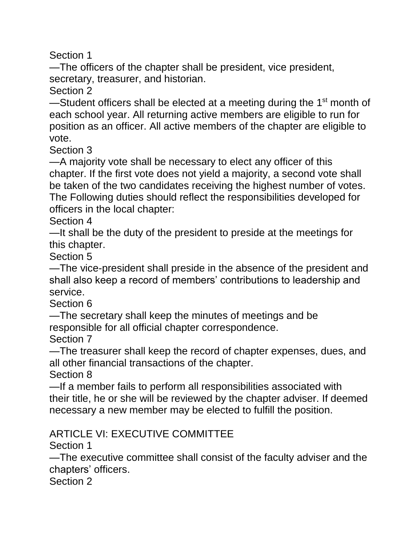Section 1

—The officers of the chapter shall be president, vice president, secretary, treasurer, and historian.

Section 2

—Student officers shall be elected at a meeting during the  $1<sup>st</sup>$  month of each school year. All returning active members are eligible to run for position as an officer. All active members of the chapter are eligible to vote.

Section 3

—A majority vote shall be necessary to elect any officer of this chapter. If the first vote does not yield a majority, a second vote shall be taken of the two candidates receiving the highest number of votes. The Following duties should reflect the responsibilities developed for officers in the local chapter:

Section 4

—It shall be the duty of the president to preside at the meetings for this chapter.

Section 5

—The vice-president shall preside in the absence of the president and shall also keep a record of members' contributions to leadership and service.

Section 6

—The secretary shall keep the minutes of meetings and be responsible for all official chapter correspondence.

Section 7

—The treasurer shall keep the record of chapter expenses, dues, and all other financial transactions of the chapter.

Section 8

—If a member fails to perform all responsibilities associated with their title, he or she will be reviewed by the chapter adviser. If deemed necessary a new member may be elected to fulfill the position.

#### ARTICLE VI: EXECUTIVE COMMITTEE

Section 1

—The executive committee shall consist of the faculty adviser and the chapters' officers.

Section 2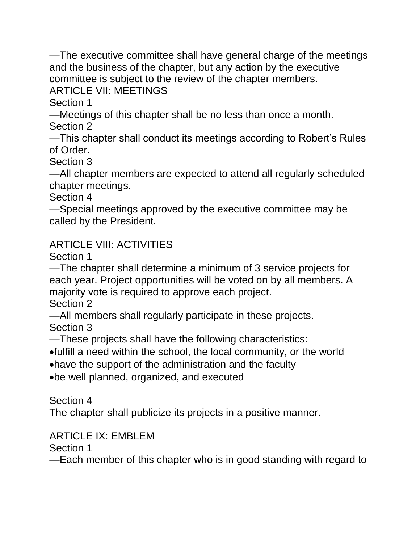—The executive committee shall have general charge of the meetings and the business of the chapter, but any action by the executive committee is subject to the review of the chapter members.

ARTICLE VII: MEETINGS

Section 1

—Meetings of this chapter shall be no less than once a month.

Section 2

—This chapter shall conduct its meetings according to Robert's Rules of Order.

Section 3

—All chapter members are expected to attend all regularly scheduled chapter meetings.

Section 4

—Special meetings approved by the executive committee may be called by the President.

#### ARTICLE VIII: ACTIVITIES

Section 1

—The chapter shall determine a minimum of 3 service projects for each year. Project opportunities will be voted on by all members. A majority vote is required to approve each project.

Section 2

—All members shall regularly participate in these projects. Section 3

—These projects shall have the following characteristics:

fulfill a need within the school, the local community, or the world

have the support of the administration and the faculty

be well planned, organized, and executed

Section 4

The chapter shall publicize its projects in a positive manner.

#### ARTICLE IX: EMBLEM

Section 1

—Each member of this chapter who is in good standing with regard to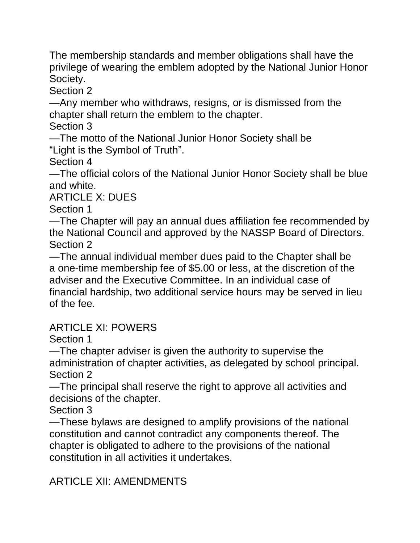The membership standards and member obligations shall have the privilege of wearing the emblem adopted by the National Junior Honor Society.

Section 2

—Any member who withdraws, resigns, or is dismissed from the chapter shall return the emblem to the chapter.

Section 3

—The motto of the National Junior Honor Society shall be "Light is the Symbol of Truth".

Section 4

—The official colors of the National Junior Honor Society shall be blue and white.

ARTICLE X: DUES

Section 1

—The Chapter will pay an annual dues affiliation fee recommended by the National Council and approved by the NASSP Board of Directors. Section 2

—The annual individual member dues paid to the Chapter shall be a one-time membership fee of \$5.00 or less, at the discretion of the adviser and the Executive Committee. In an individual case of financial hardship, two additional service hours may be served in lieu of the fee.

#### ARTICLE XI: POWERS

Section 1

—The chapter adviser is given the authority to supervise the administration of chapter activities, as delegated by school principal. Section 2

—The principal shall reserve the right to approve all activities and decisions of the chapter.

Section 3

—These bylaws are designed to amplify provisions of the national constitution and cannot contradict any components thereof. The chapter is obligated to adhere to the provisions of the national constitution in all activities it undertakes.

## ARTICLE XII: AMENDMENTS